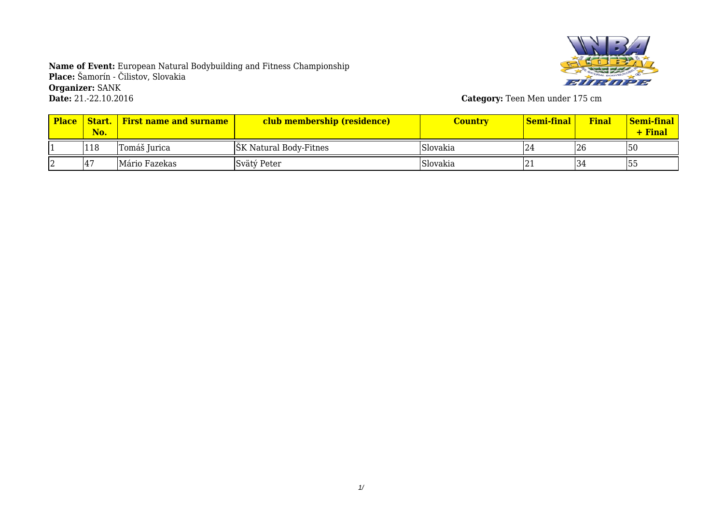

**Category:** Teen Men under 175 cm

| <b>Place</b> | Start.<br>No. | <b>First name and surname</b> | club membership (residence)   | Country  | <mark>  Semi-final</mark> | Final | <u>  Semi-final</u><br>$+$ Final |
|--------------|---------------|-------------------------------|-------------------------------|----------|---------------------------|-------|----------------------------------|
|              | 118           | Tomáš Jurica                  | <b>SK</b> Natural Body-Fitnes | Slovakia | 124                       | 26    | 50                               |
|              | 47            | Mário Fazekas                 | Svätý Peter                   | Slovakia | I 4 1                     | 34    | 55                               |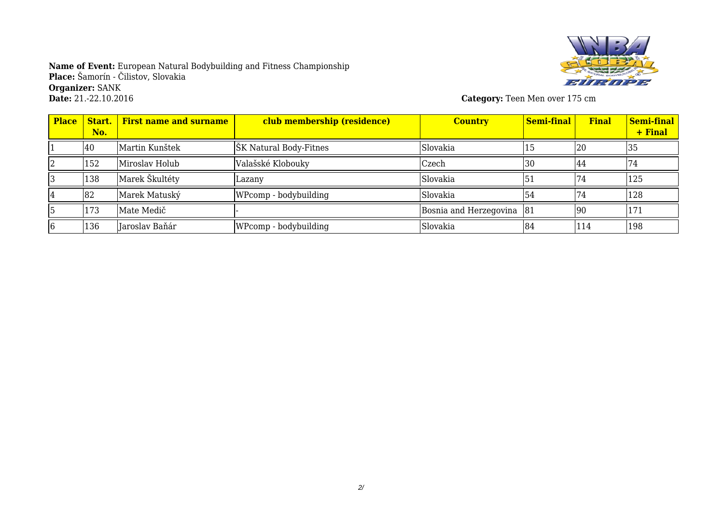

**Category:** Teen Men over 175 cm

| <b>Place</b> | Start.<br>No. | <b>First name and surname</b> | club membership (residence) | <b>Country</b>         | <b>Semi-final</b> | <b>Final</b> | Semi-final<br>+ Final |
|--------------|---------------|-------------------------------|-----------------------------|------------------------|-------------------|--------------|-----------------------|
|              | 40            | Martin Kunštek                | ŠK Natural Body-Fitnes      | Slovakia               | ל1                | 20           | 35                    |
|              | 152           | Miroslav Holub                | Valašské Klobouky           | Czech                  | 30                | 44           | 74                    |
|              | 138           | Marek Škultéty                | Lazanv                      | Slovakia               | 151               |              | 125                   |
|              | 82            | Marek Matuský                 | WPcomp - bodybuilding       | Slovakia               | 54                | 74           | 128                   |
|              | 173           | Mate Medič                    |                             | Bosnia and Herzegovina | 81                | 90           | 171                   |
|              | 136           | Jaroslav Baňár                | WPcomp - bodybuilding       | Slovakia               | 84                | 114          | 198                   |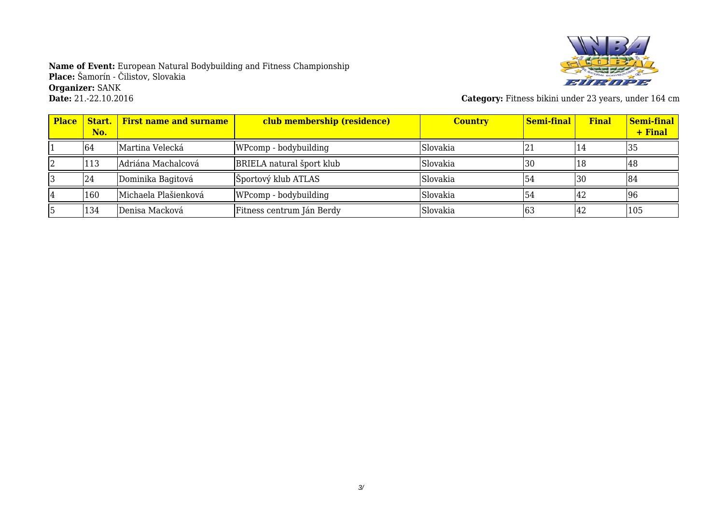

**Category:** Fitness bikini under 23 years, under 164 cm

| <b>Place</b> | No. | <b>Start.</b> First name and surname | club membership (residence) | <b>Country</b> | Semi-final | <b>Final</b> | <b>Semi-final</b><br>+ Final |
|--------------|-----|--------------------------------------|-----------------------------|----------------|------------|--------------|------------------------------|
|              | 64  | Martina Velecká                      | WPcomp - bodybuilding       | Slovakia       | 121        | 14           | 135                          |
|              | 113 | Adriána Machalcová                   | BRIELA natural šport klub   | Slovakia       | 30،        | 18           | 148                          |
|              | 24  | Dominika Bagitová                    | Športový klub ATLAS         | Slovakia       | 54ء        | <b>30</b>    | 184                          |
|              | 160 | Michaela Plašienková                 | WPcomp - bodybuilding       | Slovakia       | 54         | 14 Z         | 96                           |
|              | 134 | Denisa Macková                       | Fitness centrum Ján Berdy   | Slovakia       | 163        | 142          | 105                          |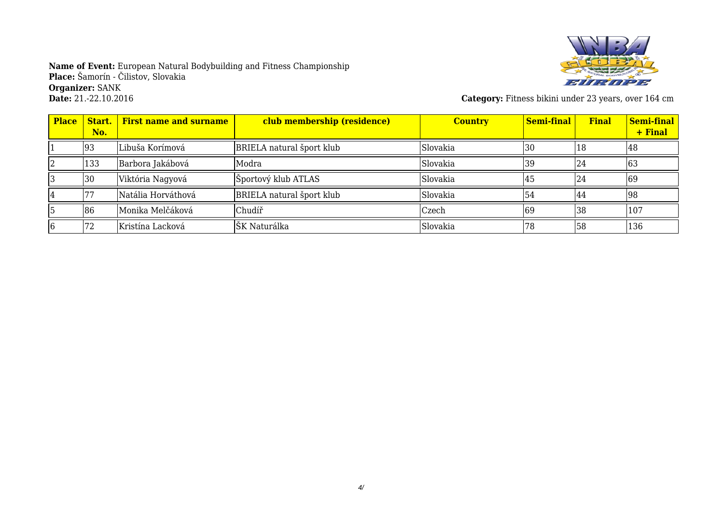

**Category:** Fitness bikini under 23 years, over 164 cm

| <b>Place</b> | Start.<br>No. | <b>First name and surname</b> | club membership (residence) | <b>Country</b> | <b>Semi-final</b> | <b>Final</b> | Semi-final<br>+ Final |
|--------------|---------------|-------------------------------|-----------------------------|----------------|-------------------|--------------|-----------------------|
|              | 93            | Libuša Korímová               | BRIELA natural šport klub   | Slovakia       | 30                | 18           | 48                    |
|              | 133           | Barbora Jakábová              | Modra                       | Slovakia       | 39                | 24           | 163                   |
|              | 30            | Viktória Nagyová              | Športový klub ATLAS         | Slovakia       | 145               | 24           | 69                    |
|              |               | lNatália Horváthová           | BRIELA natural šport klub   | Slovakia       | 54                | 44           | 98                    |
|              | 86            | Monika Melčáková              | Chudíř                      | Czech          | 69                | 38           | 107                   |
|              |               | Kristína Lacková              | ŠK Naturálka                | Slovakia       | 78                | 58           | 136                   |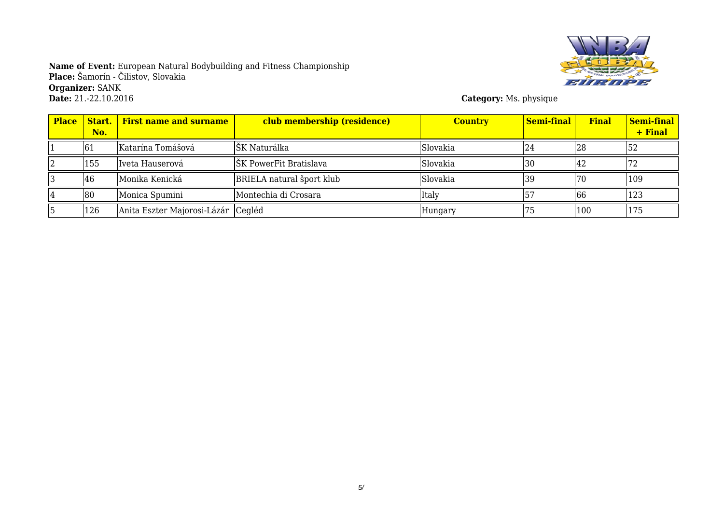

**Category:** Ms. physique

| <b>Place</b> | No. | <b>Start.</b> First name and surname | club membership (residence) | <b>Country</b> | Semi-final | <b>Final</b> | Semi-final<br>+ Final |
|--------------|-----|--------------------------------------|-----------------------------|----------------|------------|--------------|-----------------------|
|              | 61  | Katarína Tomášová                    | lŠK Naturálka               | Slovakia       | 124        | 128          | 152                   |
|              | 155 | Iveta Hauserová                      | ŠK PowerFit Bratislava      | Slovakia       | 130        | 44           |                       |
|              | 46  | Monika Kenická                       | BRIELA natural šport klub   | Slovakia       | 139        | 70           | 109                   |
|              | 80  | Monica Spumini                       | Montechia di Crosara        | Italy          |            | 66           | 123                   |
|              | 126 | Anita Eszter Majorosi-Lázár Cegléd   |                             | Hungary        |            | 100          | 175                   |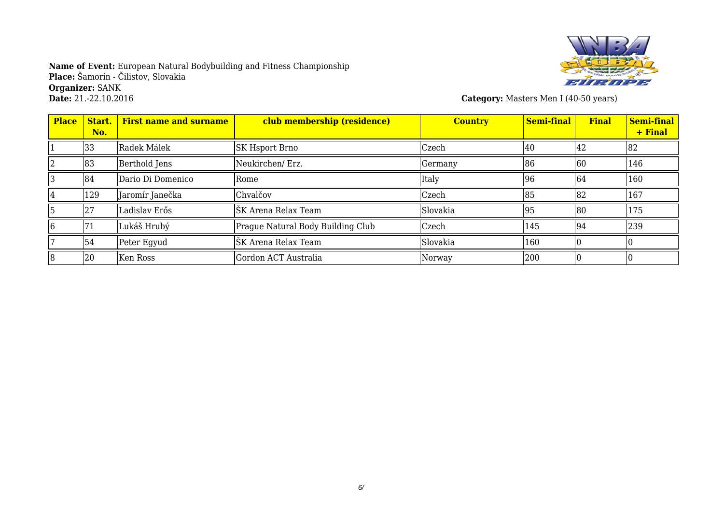

**Category:** Masters Men I (40-50 years)

| <b>Place</b> | Start.<br>No. | <b>First name and surname</b> | club membership (residence)       | <b>Country</b> | Semi-final | <b>Final</b> | Semi-final<br>+ Final |
|--------------|---------------|-------------------------------|-----------------------------------|----------------|------------|--------------|-----------------------|
|              | 33            | Radek Málek                   | SK Hsport Brno                    | Czech          | 40         | 42           | 82                    |
|              | 83            | Berthold Jens                 | Neukirchen/ Erz.                  | Germany        | 86         | 60           | 146                   |
|              | 84            | Dario Di Domenico             | Rome                              | Italy          | 96         | 64           | 160                   |
|              | 129           | Jaromír Janečka               | Chvalčov                          | Czech          | 85         | 82           | 167                   |
|              | 27            | Ladislav Erős                 | ŠK Arena Relax Team               | Slovakia       | 95         | 180          | 175                   |
|              | 71            | Lukáš Hrubý                   | Prague Natural Body Building Club | Czech          | 145        | 94           | 239                   |
|              | 54            | Peter Egyud                   | ŠK Arena Relax Team               | Slovakia       | 160        |              |                       |
|              | 20            | Ken Ross                      | Gordon ACT Australia              | Norway         | 200        |              |                       |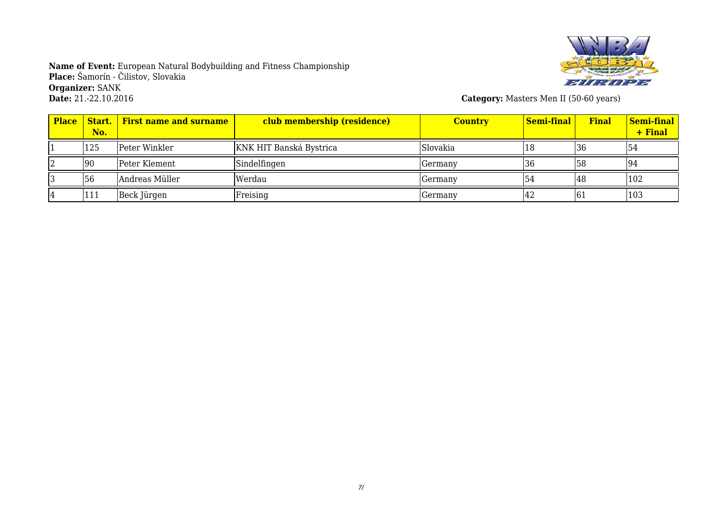

**Category:** Masters Men II (50-60 years)

| <b>Place</b> | No. | <b>Start.</b> First name and surname | club membership (residence) | <b>Country</b> | Semi-final | <b>Final</b> | Semi-final<br>+ Final |
|--------------|-----|--------------------------------------|-----------------------------|----------------|------------|--------------|-----------------------|
|              | 125 | Peter Winkler                        | KNK HIT Banská Bystrica     | Slovakia       | 18         | 136          | 154                   |
|              | 90  | Peter Klement                        | Sindelfingen                | Germany        | 136        | 58           | 194                   |
|              | 56  | Andreas Müller                       | Werdau                      | Germany        | 54         | 48           | 102                   |
|              | 111 | Beck Jürgen                          | Freising                    | Germany        | 142        | 161          | 103                   |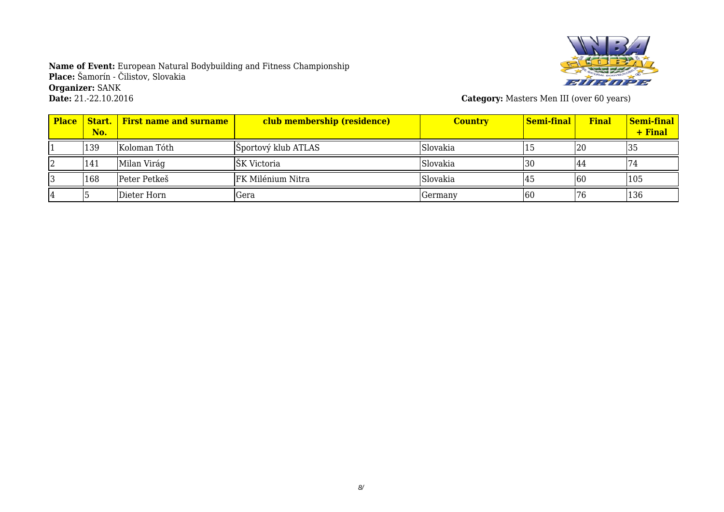

**Category:** Masters Men III (over 60 years)

| <b>Place</b> | No. | <b>Start.</b> First name and surname | club membership (residence) | <b>Country</b> | Semi-final | <b>Final</b> | Semi-final<br>+ Final |
|--------------|-----|--------------------------------------|-----------------------------|----------------|------------|--------------|-----------------------|
|              | 139 | Koloman Tóth                         | Sportový klub ATLAS         | Slovakia       |            | 20           | 35                    |
|              | 141 | Milan Virág                          | <b>SK</b> Victoria          | Slovakia       | 130        | 44           |                       |
|              | 168 | Peter Petkeš                         | FK Milénium Nitra           | Slovakia       |            | 160          | 105                   |
|              |     | Dieter Horn                          | lGera                       | Germany        | 160        | '76          | 136                   |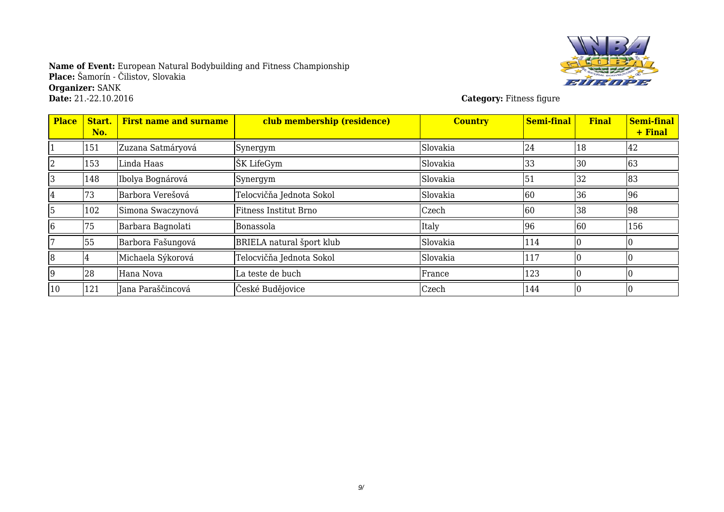

**Category:** Fitness figure

| <b>Place</b> | Start.<br>No. | <b>First name and surname</b> | club membership (residence)      | <b>Country</b> | <b>Semi-final</b> | <b>Final</b> | Semi-final<br>+ Final |
|--------------|---------------|-------------------------------|----------------------------------|----------------|-------------------|--------------|-----------------------|
|              | 151           | Zuzana Satmáryová             | Synergym                         | Slovakia       | 24                | 18           | 42                    |
|              | 153           | Linda Haas                    | ŠK LifeGym                       | Slovakia       | 33                | 30           | 63                    |
|              | 148           | Ibolya Bognárová              | Synergym                         | Slovakia       | 51                | 32           | 83                    |
| 14           | 73            | Barbora Verešová              | Telocvičňa Jednota Sokol         | Slovakia       | 60                | 36           | 96                    |
| 15           | 102           | Simona Swaczynová             | <b>Fitness Institut Brno</b>     | Czech          | 60                | 38           | 98                    |
| 16           | 75            | Barbara Bagnolati             | Bonassola                        | Italy          | 96                | 60           | 156                   |
|              | 55            | Barbora Fašungová             | <b>BRIELA</b> natural šport klub | Slovakia       | 114               |              |                       |
| 8            |               | Michaela Sýkorová             | Telocvičňa Jednota Sokol         | Slovakia       | 117               |              |                       |
| 19           | 28            | Hana Nova                     | La teste de buch                 | France         | 123               |              |                       |
| 10           | 121           | Jana Paraščincová             | České Budějovice                 | Czech          | 144               |              |                       |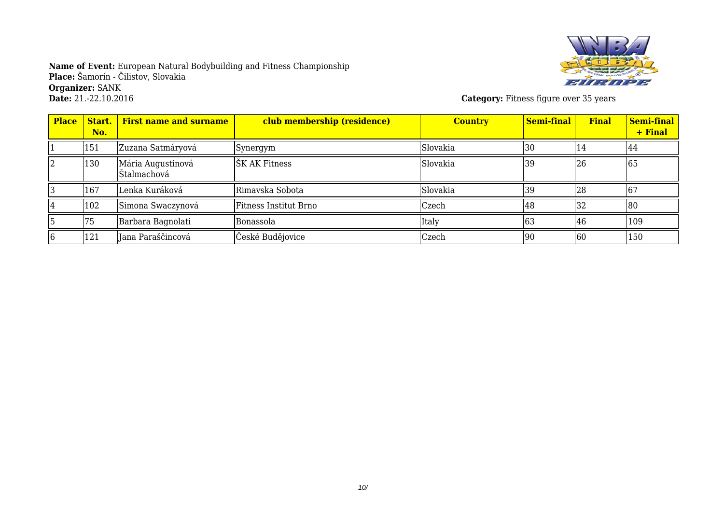

**Category:** Fitness figure over 35 years

| <b>Place</b> | Start.<br>No. | <b>First name and surname</b>     | club membership (residence)  | <b>Country</b> | Semi-final | <b>Final</b> | Semi-final<br>+ Final |
|--------------|---------------|-----------------------------------|------------------------------|----------------|------------|--------------|-----------------------|
|              | 151           | Zuzana Satmáryová                 | Synergym                     | Slovakia       | 30         | 14           | 44                    |
|              | 130           | Mária Augustinová<br> Štalmachová | ŠK AK Fitness                | Slovakia       | 39         | 26           | 65                    |
|              | 167           | Lenka Kuráková                    | Rimavska Sobota              | Slovakia       | 39         | 28           | 67                    |
|              | 102           | Simona Swaczynová                 | <b>Fitness Institut Brno</b> | Czech          | 48         | 32           | 80                    |
|              | 75            | Barbara Bagnolati                 | Bonassola                    | Italy          | 63         | 46           | 109                   |
|              | 121           | Jana Paraščincová                 | České Budějovice             | Czech          | 90         | 60           | 150                   |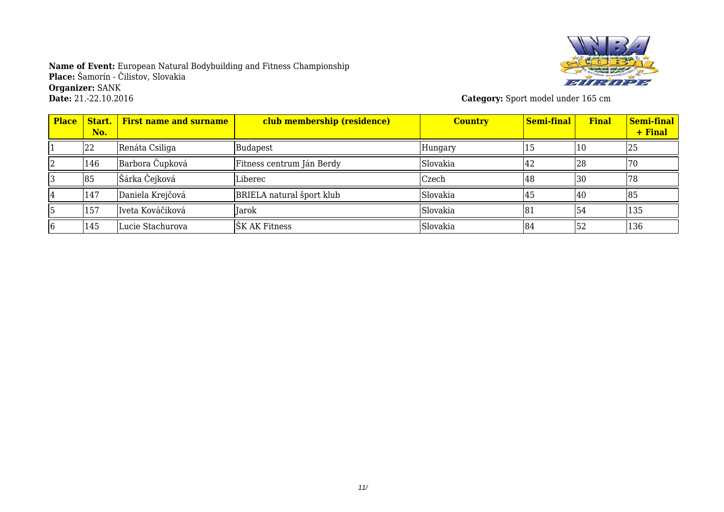

**Category:** Sport model under 165 cm

| <b>Place</b> | Start.<br>No. | <b>First name and surname</b> | club membership (residence) | <b>Country</b> | <b>Semi-final</b> | <b>Final</b> | Semi-final<br>+ Final |
|--------------|---------------|-------------------------------|-----------------------------|----------------|-------------------|--------------|-----------------------|
|              | 22            | Renáta Csiliga                | Budapest                    | Hungary        |                   |              | 25                    |
|              | 146           | Barbora Čupková               | Fitness centrum Ján Berdy   | Slovakia       | 142               | 28           |                       |
|              | 85            | Šárka Čejková                 | Liberec                     | Czech          | 48                | 30           |                       |
|              | 147           | Daniela Krejčová              | BRIELA natural šport klub   | Slovakia       | 45                | 40           | 85                    |
|              | 157           | Iveta Kováčiková              | lIarok                      | Slovakia       | 81                | 54           | 135                   |
|              | 145           | Lucie Stachurova              | ŠK AK Fitness               | Slovakia       | 184               | 52           | 136                   |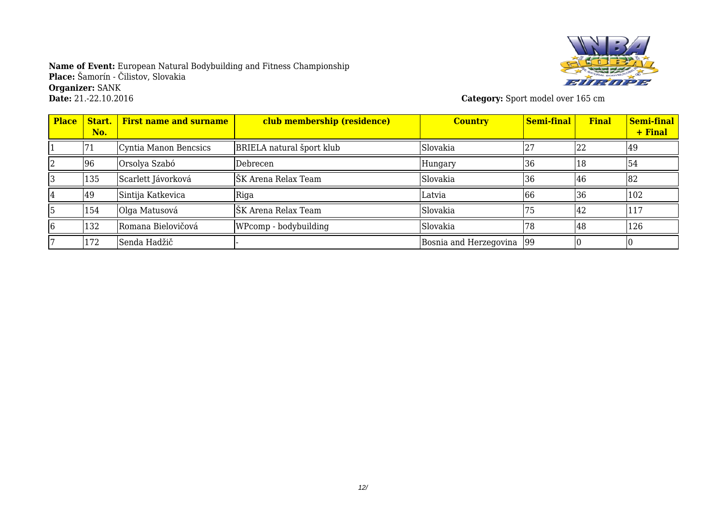

**Category:** Sport model over 165 cm

| <b>Place</b> | Start.<br>No. | <b>First name and surname</b> | club membership (residence) | <b>Country</b>            | <b>Semi-final</b> | <b>Final</b> | Semi-final<br>+ Final |
|--------------|---------------|-------------------------------|-----------------------------|---------------------------|-------------------|--------------|-----------------------|
|              |               | Cyntia Manon Bencsics         | BRIELA natural šport klub   | Slovakia                  |                   | 22           | 49                    |
|              | 96            | Orsolya Szabó                 | Debrecen                    | Hungary                   | 36                | 18           | 154                   |
|              | 135           | Scarlett Jávorková            | ŠK Arena Relax Team         | Slovakia                  | 36                | 46           | 82                    |
|              | 49            | Sintija Katkevica             | Riga                        | Latvia                    | 166               | 36           | 102                   |
|              | 154           | Olga Matusová                 | ŠK Arena Relax Team         | Slovakia                  | 75                | 42           | 117                   |
|              | 132           | Romana Bielovičová            | WPcomp - bodybuilding       | Slovakia                  | 178               | 48           | 126                   |
|              | 172           | Senda Hadžič                  |                             | Bosnia and Herzegovina 99 |                   |              |                       |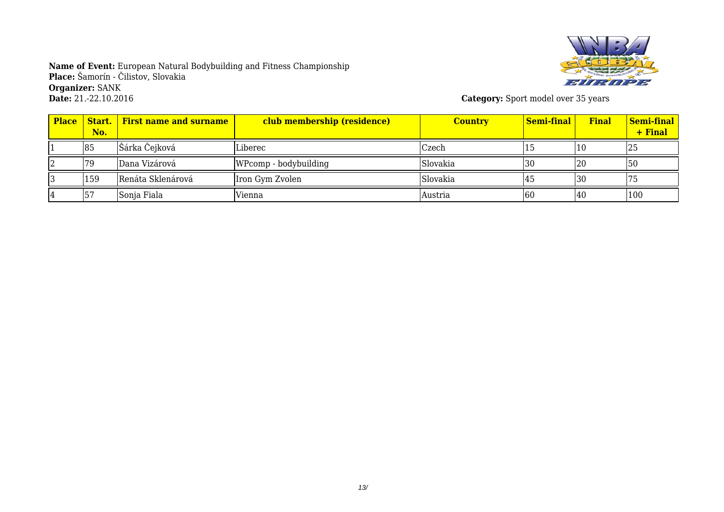

**Category:** Sport model over 35 years

| <b>Place</b> | No. | <b>Start.</b> First name and surname | club membership (residence) | <b>Country</b> | Semi-final | <b>Final</b> | Semi-final<br>+ Final |
|--------------|-----|--------------------------------------|-----------------------------|----------------|------------|--------------|-----------------------|
|              | 85  | Šárka Čejková                        | Liberec                     | Czech          |            | 10           | 125                   |
|              | 79  | Dana Vizárová                        | WPcomp - bodybuilding       | Slovakia       | 130        | 20           | 50                    |
|              | 159 | Renáta Sklenárová                    | Iron Gym Zvolen             | Slovakia       |            | 30           |                       |
|              |     | Sonja Fiala                          | Vienna                      | Austria        | 160        | 140          | 100                   |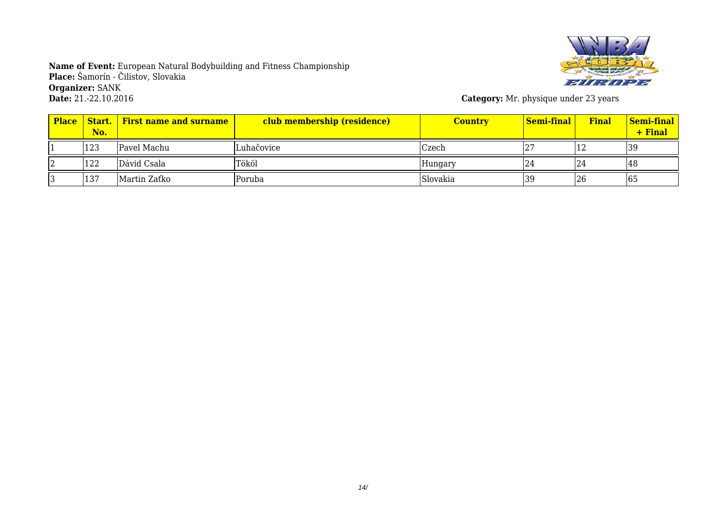

**Category:** Mr. physique under 23 years

| <b>Place</b> | Start.<br>No. | <b>First name and surname</b> | club membership (residence) | <b>Country</b> | Semi-final | <b>Final</b> | <b>Semi-final</b><br>+ Final |
|--------------|---------------|-------------------------------|-----------------------------|----------------|------------|--------------|------------------------------|
|              | 123           | Pavel Machu                   | Luhačovice                  | Czech          | '∠         | ⊥∠           | 39                           |
|              | 122           | Dávid Csala                   | Tököl                       | Hungary        | LZ4        | 24           | 48                           |
|              | 137           | Martin Zaťko                  | Poruba                      | Slovakia       | 39         | 26           | 165                          |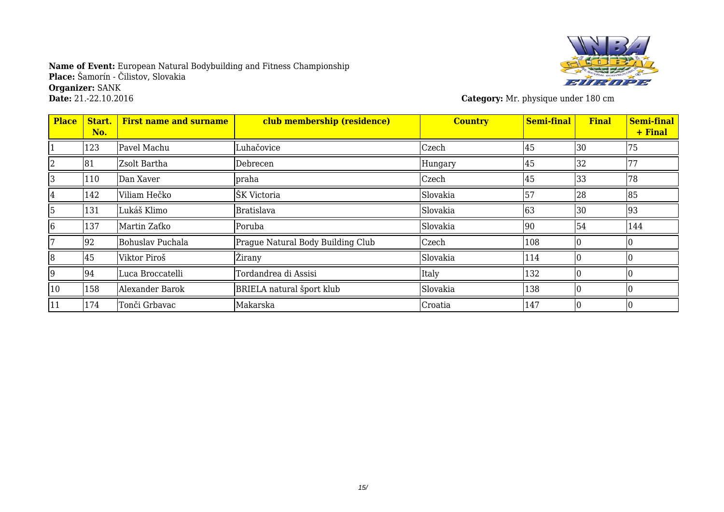

**Category:** Mr. physique under 180 cm

| <b>Place</b> | Start.<br>No. | <b>First name and surname</b> | club membership (residence)       | <b>Country</b> | <b>Semi-final</b> | <b>Final</b> | Semi-final<br>+ Final |
|--------------|---------------|-------------------------------|-----------------------------------|----------------|-------------------|--------------|-----------------------|
|              | 123           | Pavel Machu                   | Luhačovice                        | Czech          | 45                | 30           | 75                    |
| 2            | 81            | Zsolt Bartha                  | Debrecen                          | Hungary        | 45                | 32           | 77                    |
| 3            | 110           | Dan Xaver                     | praha                             | Czech          | 45                | 33           | 78                    |
| 14           | 142           | Viliam Hečko                  | ŠK Victoria                       | Slovakia       | 57                | 28           | 85                    |
| 5            | 131           | Lukáš Klimo                   | <b>Bratislava</b>                 | Slovakia       | 63                | 30           | 93                    |
| 6            | 137           | Martin Zaťko                  | Poruba                            | Slovakia       | 90                | 54           | 144                   |
|              | 92            | Bohuslav Puchala              | Prague Natural Body Building Club | Czech          | 108               |              |                       |
| 8            | 45            | Viktor Piroš                  | <b>Žirany</b>                     | Slovakia       | 114               |              |                       |
| 9            | 94            | Luca Broccatelli              | Tordandrea di Assisi              | Italy          | 132               |              |                       |
| 10           | 158           | Alexander Barok               | <b>BRIELA</b> natural šport klub  | Slovakia       | 138               |              |                       |
| 11           | 174           | Tonči Grbavac                 | Makarska                          | Croatia        | 147               |              |                       |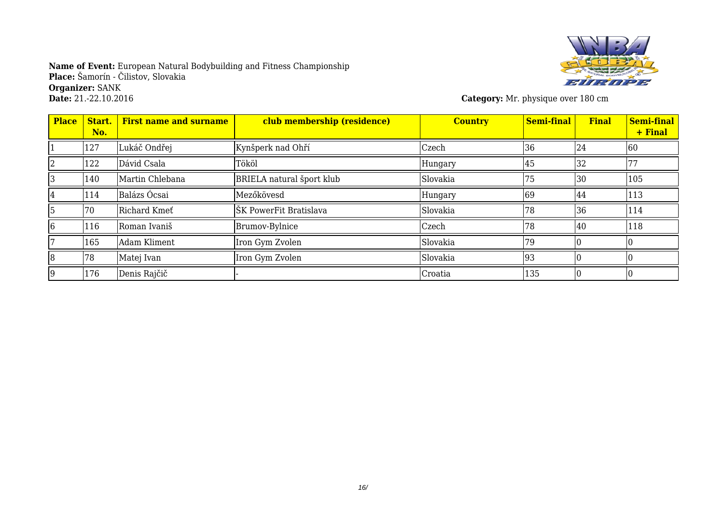

**Category:** Mr. physique over 180 cm

| <b>Place</b> | Start.<br>No. | <b>First name and surname</b> | club membership (residence) | <b>Country</b> | <b>Semi-final</b> | <b>Final</b> | Semi-final<br>+ Final |
|--------------|---------------|-------------------------------|-----------------------------|----------------|-------------------|--------------|-----------------------|
|              | 127           | Lukáč Ondřej                  | Kynšperk nad Ohří           | Czech          | 36                | 24           | 60                    |
|              | 122           | Dávid Csala                   | Tököl                       | Hungary        | 45                | 32           | 77                    |
| 13           | 140           | Martin Chlebana               | BRIELA natural šport klub   | Slovakia       | 75                | 30           | 105                   |
| 14           | 114           | Balázs Ócsai                  | Mezőkövesd                  | Hungary        | 69                | 44           | 113                   |
| 15           | 70            | Richard Kmet                  | ŠK PowerFit Bratislava      | Slovakia       | 78                | 36           | 114                   |
| 6            | 116           | Roman Ivaniš                  | <b>Brumov-Bylnice</b>       | Czech          | 78                | 40           | 118                   |
|              | 165           | Adam Kliment                  | Iron Gym Zvolen             | Slovakia       | 79                |              |                       |
| 8            | 78            | Matej Ivan                    | Iron Gym Zvolen             | Slovakia       | 93                |              |                       |
| 19           | 176           | Denis Rajčič                  |                             | Croatia        | 135               |              |                       |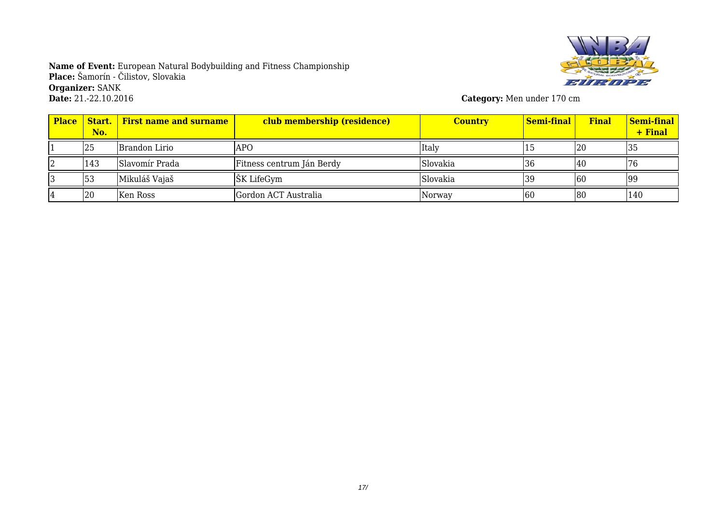

**Category:** Men under 170 cm

| <b>Place</b> | No. | <b>Start.</b> First name and surname | club membership (residence) | <b>Country</b> | Semi-final | <b>Final</b> | <b>Semi-final</b><br>+ Final |
|--------------|-----|--------------------------------------|-----------------------------|----------------|------------|--------------|------------------------------|
|              | 25  | Brandon Lirio                        | <b>APO</b>                  | Italy          |            | 20           | 135                          |
|              | 143 | <b>Slavomír Prada</b>                | Fitness centrum Ján Berdy   | Slovakia       | 136        | 140          |                              |
|              | 53  | Mikuláš Vajaš                        | ŠK LifeGym                  | Slovakia       | 139        | 160          | 99                           |
|              | 20  | Ken Ross                             | Gordon ACT Australia        | Norway         | 160        | 180          | 140                          |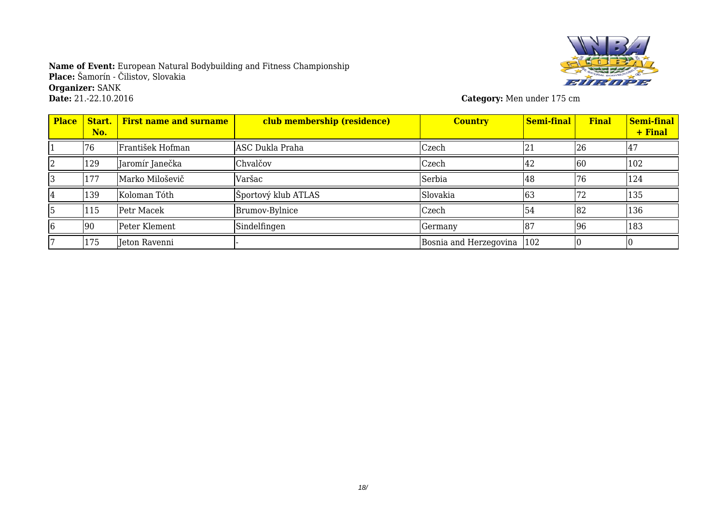

**Category:** Men under 175 cm

| <b>Place</b> | Start.<br>No. | <b>First name and surname</b> | club membership (residence) | <b>Country</b>               | <b>Semi-final</b> | <b>Final</b> | Semi-final<br>+ Final |
|--------------|---------------|-------------------------------|-----------------------------|------------------------------|-------------------|--------------|-----------------------|
|              | 76            | František Hofman              | ASC Dukla Praha             | Czech                        | 21                | 26           | Ι4Ε.                  |
|              | 129           | Jaromír Janečka               | Chvalčov                    | Czech                        | 142               | 60           | 102                   |
|              | 177           | Marko Miloševič               | Varšac                      | Serbia                       | 148               | 76           | 124                   |
|              | 139           | Koloman Tóth                  | Športový klub ATLAS         | Slovakia                     | 63                |              | 135                   |
|              | 115           | Petr Macek                    | Brumov-Bylnice              | Czech                        | 54                | 182          | 136                   |
|              | 90            | Peter Klement                 | Sindelfingen                | Germany                      | 187               | 96           | 183                   |
|              | 175           | Jeton Ravenni                 |                             | Bosnia and Herzegovina   102 |                   |              |                       |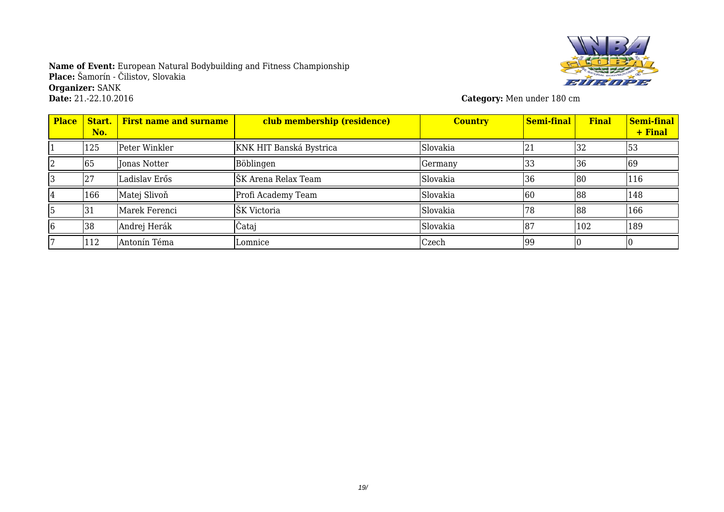

**Category:** Men under 180 cm

| <b>Place</b> | Start.<br>No. | <b>First name and surname</b> | club membership (residence) | <b>Country</b> | <b>Semi-final</b> | <b>Final</b> | Semi-final<br>+ Final |
|--------------|---------------|-------------------------------|-----------------------------|----------------|-------------------|--------------|-----------------------|
|              | 125           | Peter Winkler                 | KNK HIT Banská Bystrica     | Slovakia       | 21                | 32           | 53                    |
|              | 65            | Jonas Notter                  | Böblingen                   | Germany        | 33                | 36           | 69                    |
|              | 27            | Ladislav Erős                 | ŠK Arena Relax Team         | Slovakia       | 36                | 180          | 116                   |
|              | 166           | Matej Slivoň                  | Profi Academy Team          | Slovakia       | 60                | 188          | 148                   |
|              | 31            | Marek Ferenci                 | ŠK Victoria                 | Slovakia       | 78                | 88           | 166                   |
|              | 38            | Andrej Herák                  | Čataj                       | Slovakia       | 187               | 102          | 189                   |
|              | 112           | Antonín Téma                  | Lomnice                     | Czech          | 99                |              |                       |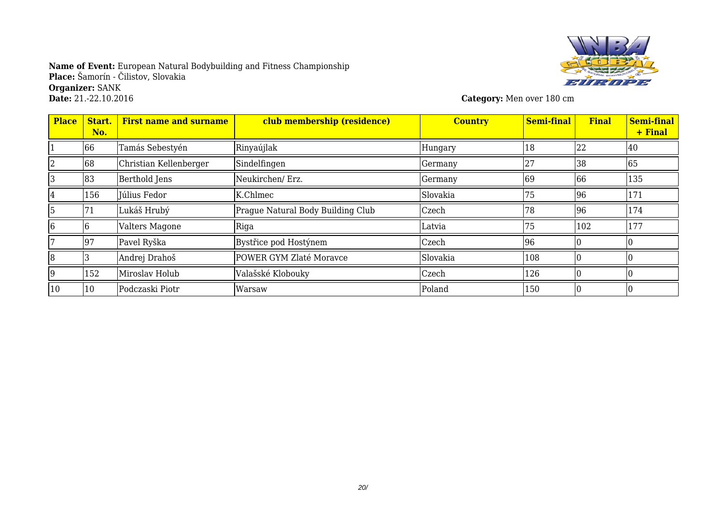

**Category:** Men over 180 cm

| <b>Place</b> | Start.<br>No. | <b>First name and surname</b> | club membership (residence)       | <b>Country</b> | <b>Semi-final</b> | <b>Final</b> | <b>Semi-final</b><br>+ Final |
|--------------|---------------|-------------------------------|-----------------------------------|----------------|-------------------|--------------|------------------------------|
|              | 66            | Tamás Sebestyén               | Rinyaújlak                        | Hungary        | 18                | 22           | 40                           |
| 2            | 68            | Christian Kellenberger        | Sindelfingen                      | Germany        | 27                | 38           | 65                           |
|              | 83            | Berthold Jens                 | Neukirchen/ Erz.                  | Germany        | 69                | 66           | 135                          |
|              | 156           | Iúlius Fedor                  | K.Chlmec                          | Slovakia       | 75                | 96           | 171                          |
| ٢p           | 71            | Lukáš Hrubý                   | Prague Natural Body Building Club | Czech          | 78                | 96           | 174                          |
| 16           |               | Valters Magone                | Riga                              | Latvia         | 75                | 102          | 177                          |
|              | 97            | Pavel Ryška                   | Bystřice pod Hostýnem             | Czech          | 96                |              |                              |
| 18           |               | Andrej Drahoš                 | POWER GYM Zlaté Moravce           | Slovakia       | 108               |              |                              |
| 19           | 152           | Miroslav Holub                | Valašské Klobouky                 | Czech          | 126               |              |                              |
| 10           | 10            | Podczaski Piotr               | Warsaw                            | Poland         | 150               |              |                              |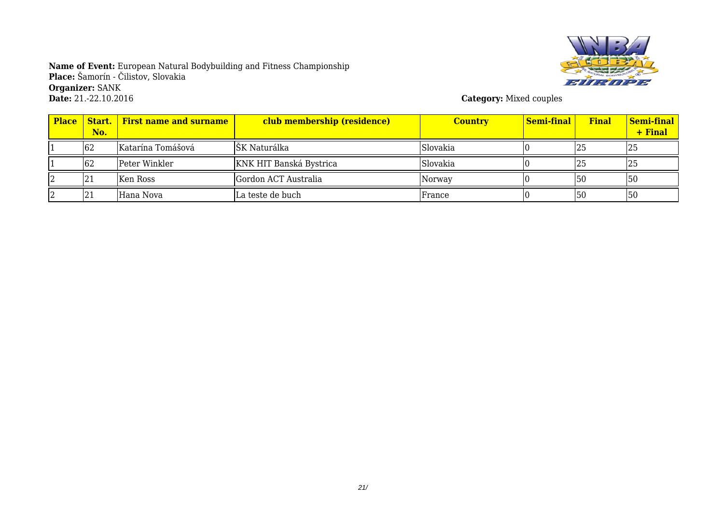

**Category:** Mixed couples

| <b>Place</b> | No. | <b>Start.</b> First name and surname | club membership (residence) | <b>Country</b> | <b>Semi-final</b> | <b>Final</b> | <b>Semi-final</b><br>$+$ Final |
|--------------|-----|--------------------------------------|-----------------------------|----------------|-------------------|--------------|--------------------------------|
|              | 62  | Katarína Tomášová                    | ŠK Naturálka                | Slovakia       |                   | 25           | 125                            |
|              | 62  | Peter Winkler                        | KNK HIT Banská Bystrica     | Slovakia       |                   | 25           | 125                            |
|              | 121 | Ken Ross                             | Gordon ACT Australia        | Norway         |                   | 50           | <b>50</b>                      |
|              | 21  | Hana Nova                            | La teste de buch            | France         |                   | 50           | 50                             |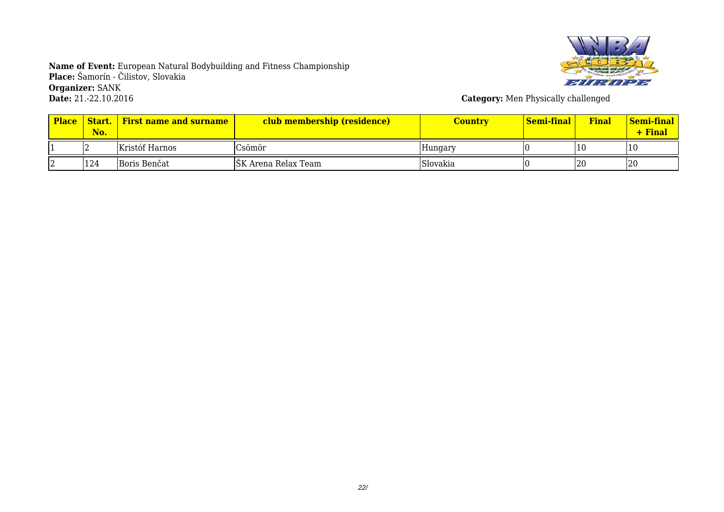

**Category:** Men Physically challenged

| <b>Place</b> | Start.<br>No. | <b>First name and surname</b> | club membership (residence) | Country  | Semi-final | Final | <u>  Semi-final</u><br>$+$ Final |
|--------------|---------------|-------------------------------|-----------------------------|----------|------------|-------|----------------------------------|
|              | ے ا           | Kristóf Harnos                | Csömör                      | Hungary  |            |       | l 1 0                            |
|              | 124           | Boris Benčat                  | SK Arena Relax Team         | Slovakia |            | 20    | 20                               |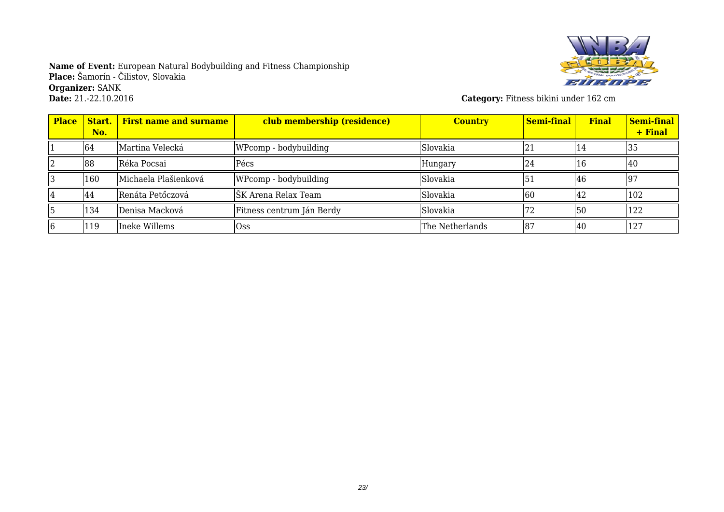

**Category:** Fitness bikini under 162 cm

| <b>Place</b> | Start.<br>No. | <b>First name and surname</b> | club membership (residence) | <b>Country</b>  | Semi-final | <b>Final</b>    | Semi-final<br>+ Final |
|--------------|---------------|-------------------------------|-----------------------------|-----------------|------------|-----------------|-----------------------|
|              | 64            | Martina Velecká               | WPcomp - bodybuilding       | Slovakia        | 21         | 14              | 35                    |
|              | 88            | Réka Pocsai                   | Pécs                        | Hungary         | <b>24</b>  | 16              | 140                   |
|              | 160           | Michaela Plašienková          | WPcomp - bodybuilding       | Slovakia        | 151        | 46              | 197                   |
|              | 44            | Renáta Petőczová              | ŠK Arena Relax Team         | Slovakia        | 60         | <sup>1</sup> 42 | 102                   |
|              | 134           | Denisa Macková                | Fitness centrum Ján Berdy   | Slovakia        | 172        | 150             | 122                   |
|              | 119           | Ineke Willems                 | <b>Oss</b>                  | The Netherlands | 187        | <b>40</b>       | 127                   |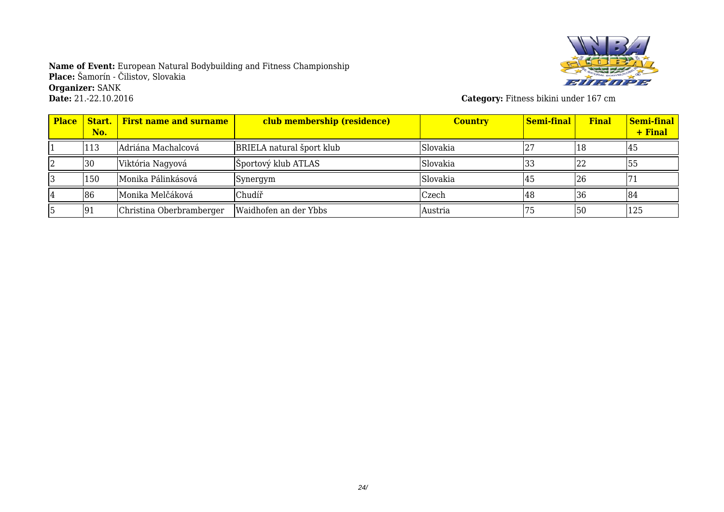

**Category:** Fitness bikini under 167 cm

| <b>Place</b> | No. | <b>Start.</b> First name and surname | club membership (residence)      | <b>Country</b> | Semi-final | <b>Final</b> | <b>Semi-final</b><br>+ Final |
|--------------|-----|--------------------------------------|----------------------------------|----------------|------------|--------------|------------------------------|
|              | 113 | Adriána Machalcová                   | <b>BRIELA</b> natural šport klub | Slovakia       |            | 18           | 45                           |
|              | 30  | Viktória Nagyová                     | Športový klub ATLAS              | Slovakia       | 33         |              | 155                          |
|              | 150 | Monika Pálinkásová                   | Synergym                         | Slovakia       | 145        | 26           |                              |
|              | 86  | Monika Melčáková                     | Chudíř                           | Czech          | 148        | 36           | 84                           |
|              | 91  | Christina Oberbramberger             | Waidhofen an der Ybbs            | Austria        |            | 50           | 125                          |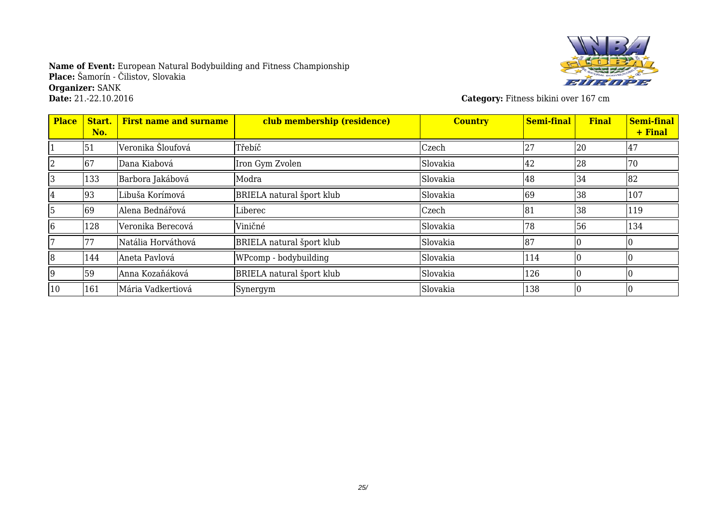

**Category:** Fitness bikini over 167 cm

| <b>Place</b> | Start.<br>No. | <b>First name and surname</b> | club membership (residence)      | <b>Country</b> | <b>Semi-final</b> | <b>Final</b> | <b>Semi-final</b><br>+ Final |
|--------------|---------------|-------------------------------|----------------------------------|----------------|-------------------|--------------|------------------------------|
|              | 51            | Veronika Šloufová             | Třebíč                           | Czech          | 27                | 20           | 147                          |
|              | 167           | Dana Kiabová                  | Iron Gym Zvolen                  | Slovakia       | 42                | 28           | 70                           |
|              | 133           | Barbora Jakábová              | Modra                            | Slovakia       | 48                | 34           | 82                           |
| 14           | 93            | Libuša Korímová               | BRIELA natural šport klub        | Slovakia       | 69                | 38           | 107                          |
| 15           | 69            | Alena Bednářová               | Liberec                          | Czech          | 81                | 38           | 119                          |
| 6            | 128           | Veronika Berecová             | Viničné                          | Slovakia       | 78                | 56           | 134                          |
|              |               | Natália Horváthová            | <b>BRIELA</b> natural šport klub | Slovakia       | 87                |              |                              |
| 8            | 144           | Aneta Pavlová                 | WPcomp - bodybuilding            | Slovakia       | 114               |              |                              |
| 19           | 59            | Anna Kozaňáková               | <b>BRIELA</b> natural šport klub | Slovakia       | 126               |              |                              |
| 10           | 161           | Mária Vadkertiová             | Synergym                         | Slovakia       | 138               |              |                              |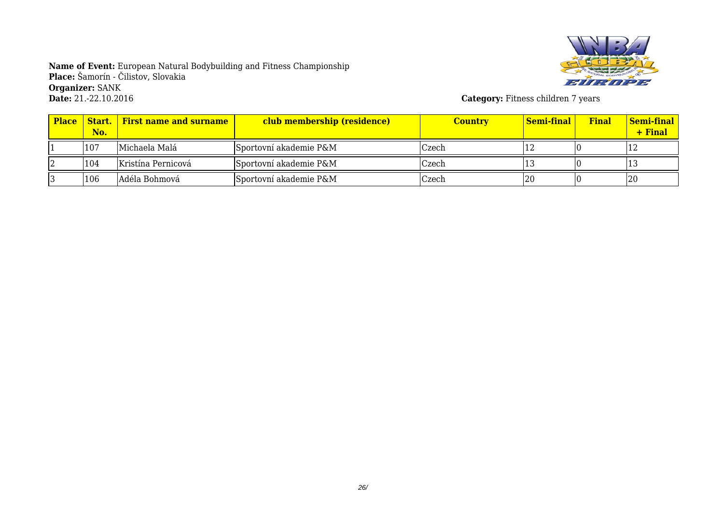

**Category:** Fitness children 7 years

| <b>Place</b> | No. | <b>Start.</b> First name and surname | club membership (residence) | <b>Country</b> | Semi-final | <b>Final</b> | <b>Semi-final</b><br>+ Final |
|--------------|-----|--------------------------------------|-----------------------------|----------------|------------|--------------|------------------------------|
|              | 107 | Michaela Malá                        | Sportovní akademie P&M      | Czech          |            |              | 14                           |
|              | 104 | Kristína Pernicová                   | Sportovní akademie P&M      | Czech          |            |              |                              |
|              | 106 | Adéla Bohmová                        | Sportovní akademie P&M      | Czech          | 20         |              | 20                           |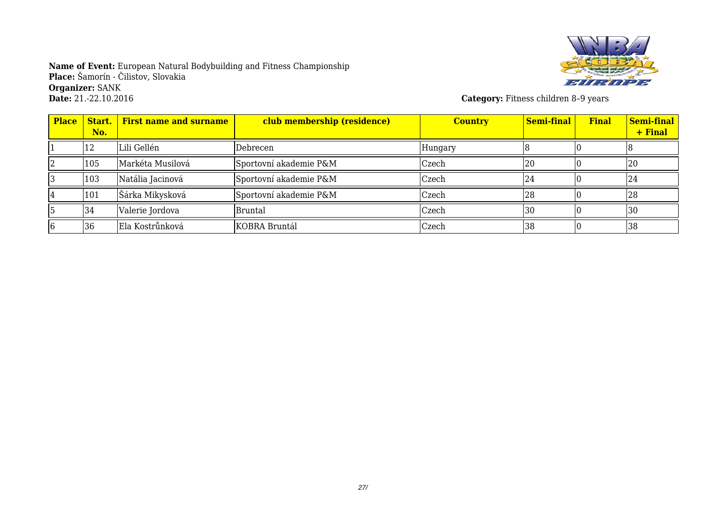

**Category:** Fitness children 8-9 years

| <b>Place</b> | Start.<br>No. | <b>First name and surname</b> | club membership (residence) | <b>Country</b> | Semi-final | <b>Final</b> | Semi-final<br>+ Final |
|--------------|---------------|-------------------------------|-----------------------------|----------------|------------|--------------|-----------------------|
|              | 12            | Lili Gellén                   | Debrecen                    | Hungary        |            |              |                       |
|              | 105           | Markéta Musilová              | Sportovní akademie P&M      | Czech          | 120        |              | 20                    |
|              | 103           | Natália Jacinová              | Sportovní akademie P&M      | <b>Czech</b>   | 24         |              | <sup>24</sup>         |
|              | 101           | Šárka Mikysková               | Sportovní akademie P&M      | Czech          | 128        |              | 128                   |
|              | 34            | Valerie Jordova               | <b>Bruntal</b>              | Czech          | 130        |              | 130                   |
|              | 36            | Ela Kostrůnková               | KOBRA Bruntál               | Czech          | 38         |              | 38                    |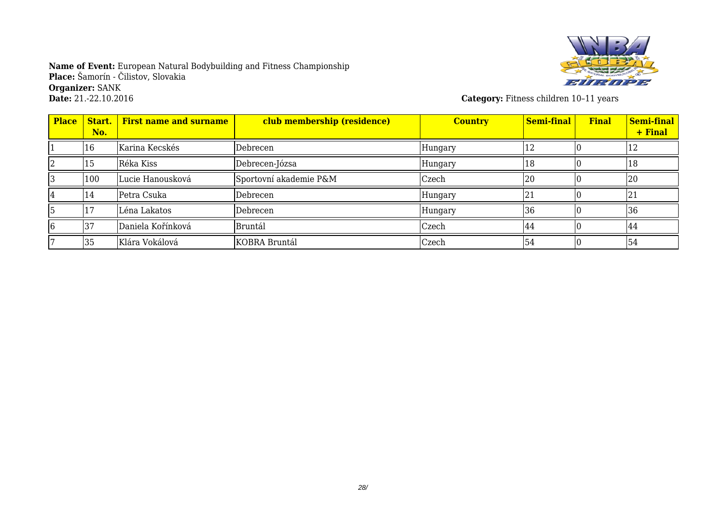

**Category:** Fitness children 10-11 years

| <b>Place</b> | Start.<br>No. | <b>First name and surname</b> | club membership (residence) | <b>Country</b> | <b>Semi-final</b> | <b>Final</b> | Semi-final<br>+ Final |
|--------------|---------------|-------------------------------|-----------------------------|----------------|-------------------|--------------|-----------------------|
|              | 16            | Karina Kecskés                | Debrecen                    | Hungary        | 12                |              | 12                    |
|              | 15            | Réka Kiss                     | Debrecen-Józsa              | Hungary        | 18                |              | 18                    |
|              | 100           | Lucie Hanousková              | Sportovní akademie P&M      | Czech          | 20                |              | 20                    |
|              | 14            | Petra Csuka                   | Debrecen                    | Hungary        | 21                |              | 21                    |
|              |               | Léna Lakatos                  | Debrecen                    | Hungary        | 36                |              | 36                    |
|              | 137           | Daniela Kořínková             | <b>Bruntál</b>              | Czech          | 44                |              | 44                    |
|              | 35            | Klára Vokálová                | KOBRA Bruntál               | Czech          | 54                |              | 54                    |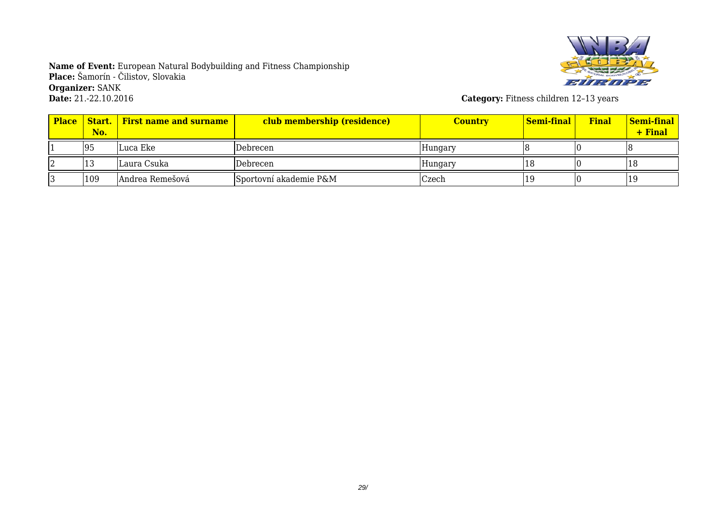

**Category:** Fitness children 12-13 years

| <b>Place</b> | No. | <b>Start.</b> First name and surname | club membership (residence) | <b>Country</b> | Semi-final | <b>Final</b> | <b>Semi-final</b><br>+ Final |
|--------------|-----|--------------------------------------|-----------------------------|----------------|------------|--------------|------------------------------|
|              | 95  | Luca Eke                             | Debrecen                    | Hungary        |            |              |                              |
|              | ΙJ  | Laura Csuka                          | Debrecen                    | Hungary        |            |              | 18                           |
|              | 109 | Andrea Remešová                      | Sportovní akademie P&M      | Czech          |            |              | -19                          |